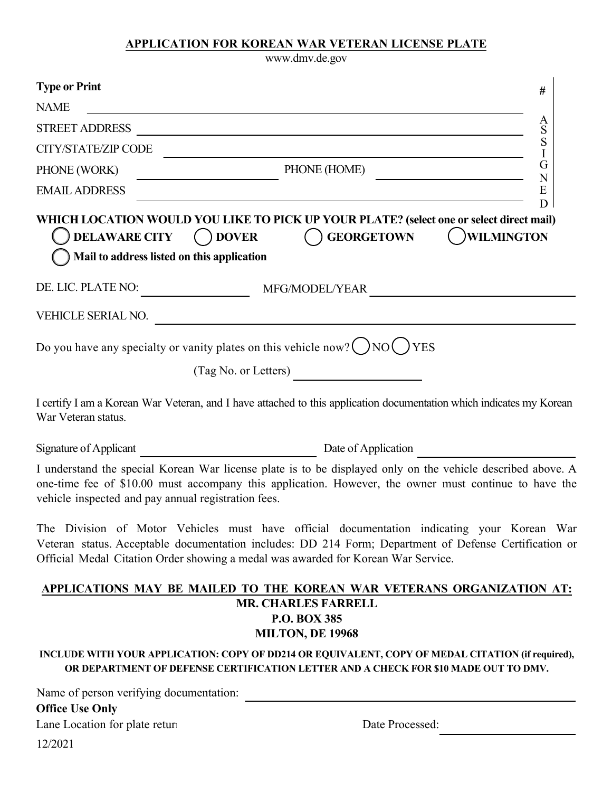## **APPLICATION FOR KOREAN WAR VETERAN LICENSE PLATE**

www.dmv.de.gov

| <b>Type or Print</b>                                                 | #                                                                                                                                                                                                                                                                                         |
|----------------------------------------------------------------------|-------------------------------------------------------------------------------------------------------------------------------------------------------------------------------------------------------------------------------------------------------------------------------------------|
| <b>NAME</b>                                                          | <u> 1989 - Andrea Station Barbara, actor a component de la componentación de la componentación de la componentaci</u>                                                                                                                                                                     |
| <b>STREET ADDRESS</b>                                                | A<br>S<br><u> 1989 - Johann Stoff, deutscher Stoffen und der Stoffen und der Stoffen und der Stoffen und der Stoffen und der</u>                                                                                                                                                          |
| CITY/STATE/ZIP CODE                                                  | S                                                                                                                                                                                                                                                                                         |
| PHONE (WORK)                                                         | G<br>PHONE (HOME)                                                                                                                                                                                                                                                                         |
| <b>EMAIL ADDRESS</b>                                                 | $\mathbf N$<br>E<br><u> 1989 - Johann Barbara, martxa alemaniar amerikan basar da a</u>                                                                                                                                                                                                   |
| DELAWARE CITY () DOVER<br>Mail to address listed on this application | D<br>WHICH LOCATION WOULD YOU LIKE TO PICK UP YOUR PLATE? (select one or select direct mail)<br>( )WILMINGTON<br>( ) GEORGETOWN                                                                                                                                                           |
| DE. LIC. PLATE NO:                                                   | MFG/MODEL/YEAR                                                                                                                                                                                                                                                                            |
|                                                                      | VEHICLE SERIAL NO.                                                                                                                                                                                                                                                                        |
|                                                                      | Do you have any specialty or vanity plates on this vehicle now? $\binom{N}{0}$ NO $\binom{N}{0}$<br>$\frac{1}{2}$ (Tag No. or Letters)                                                                                                                                                    |
| War Veteran status.                                                  | I certify I am a Korean War Veteran, and I have attached to this application documentation which indicates my Korean                                                                                                                                                                      |
|                                                                      | Signature of Applicant Law Date of Application Law Date of Application                                                                                                                                                                                                                    |
| vehicle inspected and pay annual registration fees.                  | I understand the special Korean War license plate is to be displayed only on the vehicle described above. A<br>one-time fee of \$10.00 must accompany this application. However, the owner must continue to have the                                                                      |
|                                                                      | The Division of Motor Vehicles must have official documentation indicating your Korean War<br>Veteran status. Acceptable documentation includes: DD 214 Form; Department of Defense Certification or<br>Official Medal Citation Order showing a medal was awarded for Korean War Service. |
|                                                                      | APPLICATIONS MAY BE MAILED TO THE KOREAN WAR VETERANS ORGANIZATION AT:                                                                                                                                                                                                                    |
|                                                                      | <b>MR. CHARLES FARRELL</b><br><b>P.O. BOX 385</b><br><b>MILTON, DE 19968</b>                                                                                                                                                                                                              |
|                                                                      | INCLUDE WITH YOUR APPLICATION: COPY OF DD214 OR EQUIVALENT, COPY OF MEDAL CITATION (if required),<br>OR DEPARTMENT OF DEFENSE CERTIFICATION LETTER AND A CHECK FOR \$10 MADE OUT TO DMV.                                                                                                  |
| Name of person verifying documentation:<br><b>Office Use Only</b>    |                                                                                                                                                                                                                                                                                           |
| Lane Location for plate retur                                        | Date Processed:                                                                                                                                                                                                                                                                           |
| 12/2021                                                              |                                                                                                                                                                                                                                                                                           |